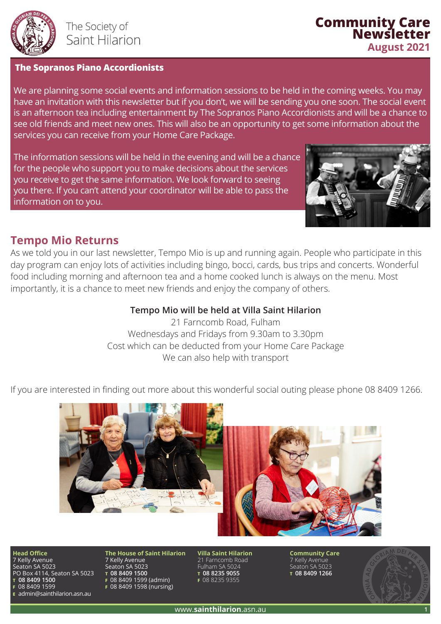

#### **The Sopranos Piano Accordionists**

We are planning some social events and information sessions to be held in the coming weeks. You may have an invitation with this newsletter but if you don't, we will be sending you one soon. The social event is an afternoon tea including entertainment by The Sopranos Piano Accordionists and will be a chance to see old friends and meet new ones. This will also be an opportunity to get some information about the services you can receive from your Home Care Package.

The information sessions will be held in the evening and will be a chance for the people who support you to make decisions about the services you receive to get the same information. We look forward to seeing you there. If you can't attend your coordinator will be able to pass the information on to you.



**Community Care Newsletter**

**August 2021**

## **Tempo Mio Returns**

As we told you in our last newsletter, Tempo Mio is up and running again. People who participate in this day program can enjoy lots of activities including bingo, bocci, cards, bus trips and concerts. Wonderful food including morning and afternoon tea and a home cooked lunch is always on the menu. Most importantly, it is a chance to meet new friends and enjoy the company of others.

### **Tempo Mio will be held at Villa Saint Hilarion**

21 Farncomb Road, Fulham Wednesdays and Fridays from 9.30am to 3.30pm Cost which can be deducted from your Home Care Package We can also help with transport

If you are interested in finding out more about this wonderful social outing please phone 08 8409 1266.



**Head Office**

7 Kelly Avenue Seaton SA 5023 PO Box 4114, Seaton SA 5023 **T 08 8409 1500 F** 08 8409 1599 **E** admin@sainthilarion.asn.au

**The House of Saint Hilarion** 7 Kelly Avenue Seaton SA 5023 **T 08 8409 1500 F** 08 8409 1599 (admin) **F** 08 8409 1598 (nursing)

**Villa Saint Hilarion** 21 Farncomb Road Fulham SA 5024 **T 08 8235 9055 F** 08 8235 9355

**Community Care** 7 Kelly Avenue Seaton SA 5023 **T 08 8409 1266**